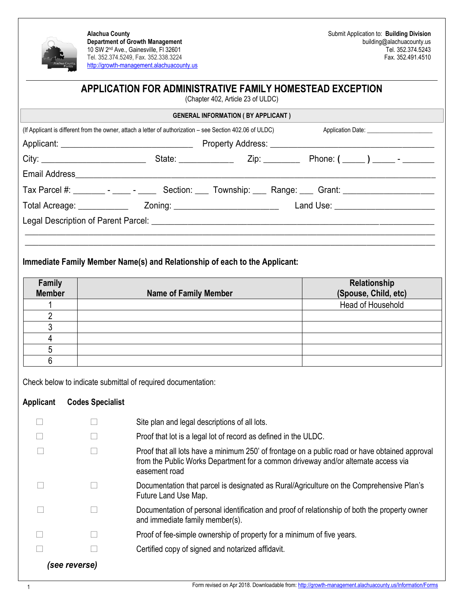

**Alachua County Department of Growth Management** 10 SW 2nd Ave., Gainesville, Fl 32601 Tel. 352.374.5249, Fax. 352.338.3224 [http://growth-management.alachuacounty.us](http://growth-management.alachuacounty.us/)

## **APPLICATION FOR ADMINISTRATIVE FAMILY HOMESTEAD EXCEPTION**

(Chapter 402, Article 23 of ULDC)

|                                                                                                                | <b>GENERAL INFORMATION (BY APPLICANT)</b> |  |
|----------------------------------------------------------------------------------------------------------------|-------------------------------------------|--|
| (If Applicant is different from the owner, attach a letter of authorization – see Section 402.06 of ULDC)      |                                           |  |
|                                                                                                                |                                           |  |
|                                                                                                                |                                           |  |
|                                                                                                                |                                           |  |
| Tax Parcel #: _________ - _____ - _______ Section: _____ Township: _____ Range: ____ Grant: __________________ |                                           |  |
|                                                                                                                |                                           |  |
|                                                                                                                |                                           |  |
|                                                                                                                |                                           |  |
|                                                                                                                |                                           |  |

## **Immediate Family Member Name(s) and Relationship of each to the Applicant:**

| Family        |                              | Relationship         |
|---------------|------------------------------|----------------------|
| <b>Member</b> | <b>Name of Family Member</b> | (Spouse, Child, etc) |
|               |                              | Head of Household    |
|               |                              |                      |
|               |                              |                      |
|               |                              |                      |
|               |                              |                      |
|               |                              |                      |

Check below to indicate submittal of required documentation:

## **Applicant Codes Specialist**

|               |  | Site plan and legal descriptions of all lots.                                                                                                                                                         |
|---------------|--|-------------------------------------------------------------------------------------------------------------------------------------------------------------------------------------------------------|
|               |  | Proof that lot is a legal lot of record as defined in the ULDC.                                                                                                                                       |
|               |  | Proof that all lots have a minimum 250' of frontage on a public road or have obtained approval<br>from the Public Works Department for a common driveway and/or alternate access via<br>easement road |
|               |  | Documentation that parcel is designated as Rural/Agriculture on the Comprehensive Plan's<br>Future Land Use Map.                                                                                      |
|               |  | Documentation of personal identification and proof of relationship of both the property owner<br>and immediate family member(s).                                                                      |
|               |  | Proof of fee-simple ownership of property for a minimum of five years.                                                                                                                                |
|               |  | Certified copy of signed and notarized affidavit.                                                                                                                                                     |
| (see reverse) |  |                                                                                                                                                                                                       |